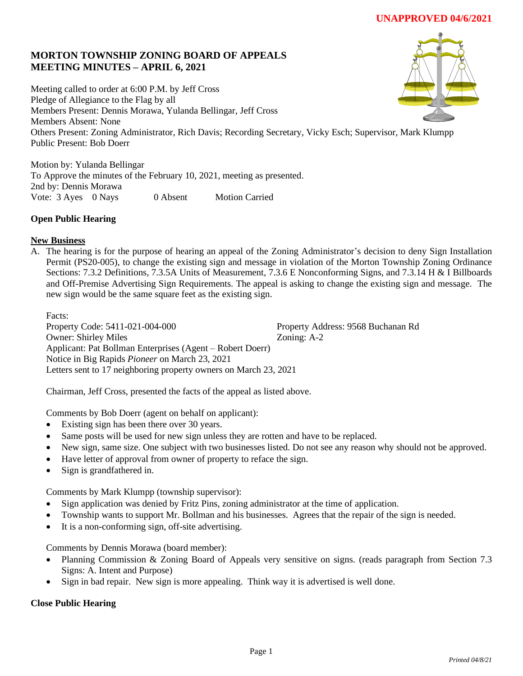# **MORTON TOWNSHIP ZONING BOARD OF APPEALS MEETING MINUTES – APRIL 6, 2021**

Meeting called to order at 6:00 P.M. by Jeff Cross Pledge of Allegiance to the Flag by all Members Present: Dennis Morawa, Yulanda Bellingar, Jeff Cross Members Absent: None Others Present: Zoning Administrator, Rich Davis; Recording Secretary, Vicky Esch; Supervisor, Mark Klumpp Public Present: Bob Doerr

Motion by: Yulanda Bellingar To Approve the minutes of the February 10, 2021, meeting as presented. 2nd by: Dennis Morawa Vote: 3 Ayes 0 Nays 0 Absent Motion Carried

## **Open Public Hearing**

## **New Business**

A. The hearing is for the purpose of hearing an appeal of the Zoning Administrator's decision to deny Sign Installation Permit (PS20-005), to change the existing sign and message in violation of the Morton Township Zoning Ordinance Sections: 7.3.2 Definitions, 7.3.5A Units of Measurement, 7.3.6 E Nonconforming Signs, and 7.3.14 H & I Billboards and Off-Premise Advertising Sign Requirements. The appeal is asking to change the existing sign and message. The new sign would be the same square feet as the existing sign.

Facts: Property Code: 5411-021-004-000 Property Address: 9568 Buchanan Rd Owner: Shirley Miles Zoning: A-2 Applicant: Pat Bollman Enterprises (Agent – Robert Doerr) Notice in Big Rapids *Pioneer* on March 23, 2021 Letters sent to 17 neighboring property owners on March 23, 2021

Chairman, Jeff Cross, presented the facts of the appeal as listed above.

Comments by Bob Doerr (agent on behalf on applicant):

- Existing sign has been there over 30 years.
- Same posts will be used for new sign unless they are rotten and have to be replaced.
- New sign, same size. One subject with two businesses listed. Do not see any reason why should not be approved.
- Have letter of approval from owner of property to reface the sign.
- Sign is grandfathered in.

Comments by Mark Klumpp (township supervisor):

- Sign application was denied by Fritz Pins, zoning administrator at the time of application.
- Township wants to support Mr. Bollman and his businesses. Agrees that the repair of the sign is needed.
- It is a non-conforming sign, off-site advertising.

Comments by Dennis Morawa (board member):

- Planning Commission & Zoning Board of Appeals very sensitive on signs. (reads paragraph from Section 7.3 Signs: A. Intent and Purpose)
- Sign in bad repair. New sign is more appealing. Think way it is advertised is well done.

### **Close Public Hearing**